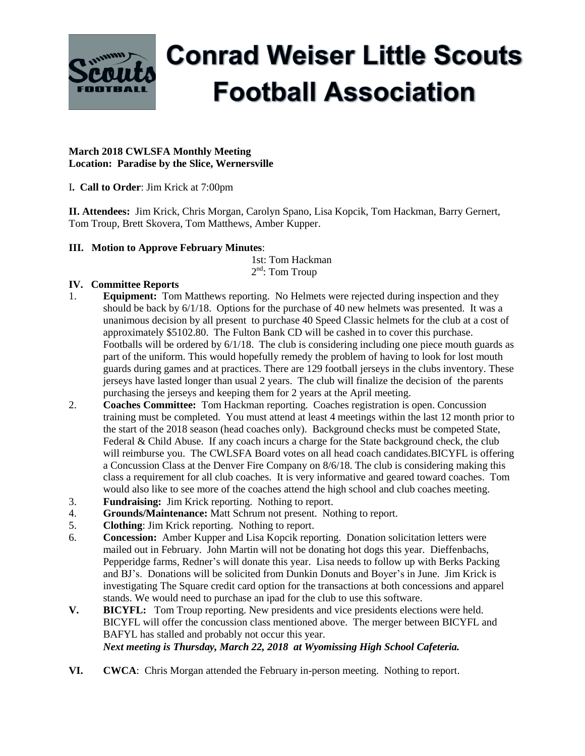

# **Conrad Weiser Little Scouts Football Association**

#### **March 2018 CWLSFA Monthly Meeting Location: Paradise by the Slice, Wernersville**

I**. Call to Order**: Jim Krick at 7:00pm

**II. Attendees:** Jim Krick, Chris Morgan, Carolyn Spano, Lisa Kopcik, Tom Hackman, Barry Gernert, Tom Troup, Brett Skovera, Tom Matthews, Amber Kupper.

## **III. Motion to Approve February Minutes**:

 1st: Tom Hackman  $2<sup>nd</sup>$ : Tom Troup

## **IV. Committee Reports**

- 1. **Equipment:** Tom Matthews reporting. No Helmets were rejected during inspection and they should be back by 6/1/18. Options for the purchase of 40 new helmets was presented. It was a unanimous decision by all present to purchase 40 Speed Classic helmets for the club at a cost of approximately \$5102.80. The Fulton Bank CD will be cashed in to cover this purchase. Footballs will be ordered by 6/1/18. The club is considering including one piece mouth guards as part of the uniform. This would hopefully remedy the problem of having to look for lost mouth guards during games and at practices. There are 129 football jerseys in the clubs inventory. These jerseys have lasted longer than usual 2 years. The club will finalize the decision of the parents purchasing the jerseys and keeping them for 2 years at the April meeting.
- 2. **Coaches Committee:** Tom Hackman reporting. Coaches registration is open. Concussion training must be completed. You must attend at least 4 meetings within the last 12 month prior to the start of the 2018 season (head coaches only). Background checks must be competed State, Federal & Child Abuse. If any coach incurs a charge for the State background check, the club will reimburse you. The CWLSFA Board votes on all head coach candidates.BICYFL is offering a Concussion Class at the Denver Fire Company on 8/6/18. The club is considering making this class a requirement for all club coaches. It is very informative and geared toward coaches. Tom would also like to see more of the coaches attend the high school and club coaches meeting.
- 3. **Fundraising:** Jim Krick reporting. Nothing to report.
- 4. **Grounds/Maintenance:** Matt Schrum not present. Nothing to report.
- 5. **Clothing**: Jim Krick reporting. Nothing to report.
- 6. **Concession:** Amber Kupper and Lisa Kopcik reporting. Donation solicitation letters were mailed out in February. John Martin will not be donating hot dogs this year. Dieffenbachs, Pepperidge farms, Redner's will donate this year. Lisa needs to follow up with Berks Packing and BJ's. Donations will be solicited from Dunkin Donuts and Boyer's in June. Jim Krick is investigating The Square credit card option for the transactions at both concessions and apparel stands. We would need to purchase an ipad for the club to use this software.
- **V. BICYFL:** Tom Troup reporting. New presidents and vice presidents elections were held. BICYFL will offer the concussion class mentioned above. The merger between BICYFL and BAFYL has stalled and probably not occur this year. *Next meeting is Thursday, March 22, 2018 at Wyomissing High School Cafeteria.*
- **VI. CWCA**: Chris Morgan attended the February in-person meeting. Nothing to report.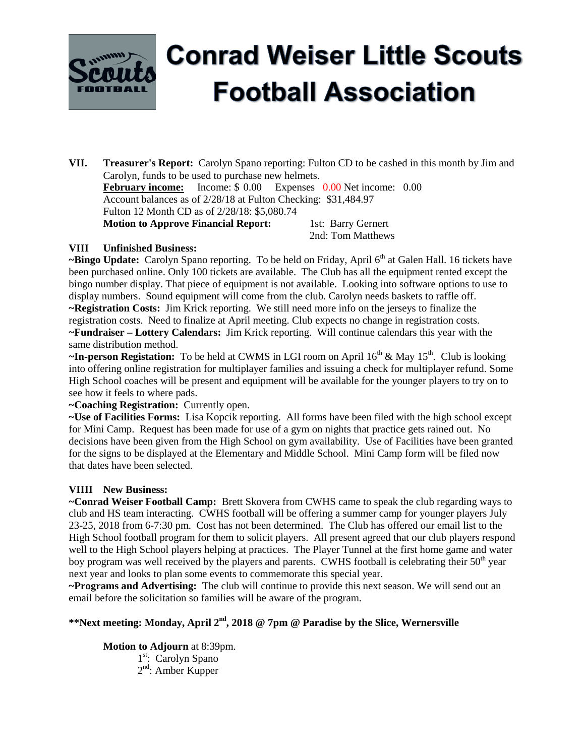

# **Conrad Weiser Little Scouts Football Association**

**VII. Treasurer's Report:** Carolyn Spano reporting: Fulton CD to be cashed in this month by Jim and Carolyn, funds to be used to purchase new helmets. **February income:** Income: \$ 0.00 Expenses 0.00 Net income: 0.00 Account balances as of 2/28/18 at Fulton Checking: \$31,484.97 Fulton 12 Month CD as of 2/28/18: \$5,080.74 **Motion to Approve Financial Report:** 1st: Barry Gernert 2nd: Tom Matthews

## **VIII Unfinished Business:**

~Bingo Update: Carolyn Spano reporting. To be held on Friday, April 6<sup>th</sup> at Galen Hall. 16 tickets have been purchased online. Only 100 tickets are available. The Club has all the equipment rented except the bingo number display. That piece of equipment is not available. Looking into software options to use to display numbers. Sound equipment will come from the club. Carolyn needs baskets to raffle off. **~Registration Costs:** Jim Krick reporting. We still need more info on the jerseys to finalize the registration costs. Need to finalize at April meeting. Club expects no change in registration costs. **~Fundraiser – Lottery Calendars:** Jim Krick reporting. Will continue calendars this year with the same distribution method.

~In-person Registation: To be held at CWMS in LGI room on April 16<sup>th</sup> & May 15<sup>th</sup>. Club is looking into offering online registration for multiplayer families and issuing a check for multiplayer refund. Some High School coaches will be present and equipment will be available for the younger players to try on to see how it feels to where pads.

**~Coaching Registration:** Currently open.

**~Use of Facilities Forms:** Lisa Kopcik reporting. All forms have been filed with the high school except for Mini Camp. Request has been made for use of a gym on nights that practice gets rained out. No decisions have been given from the High School on gym availability. Use of Facilities have been granted for the signs to be displayed at the Elementary and Middle School. Mini Camp form will be filed now that dates have been selected.

#### **VIIII New Business:**

**~Conrad Weiser Football Camp:** Brett Skovera from CWHS came to speak the club regarding ways to club and HS team interacting.CWHS football will be offering a summer camp for younger players July 23-25, 2018 from 6-7:30 pm. Cost has not been determined. The Club has offered our email list to the High School football program for them to solicit players. All present agreed that our club players respond well to the High School players helping at practices. The Player Tunnel at the first home game and water boy program was well received by the players and parents. CWHS football is celebrating their 50<sup>th</sup> year next year and looks to plan some events to commemorate this special year.

**~Programs and Advertising:** The club will continue to provide this next season. We will send out an email before the solicitation so families will be aware of the program.

### **\*\*Next meeting: Monday, April 2 nd , 2018 @ 7pm @ Paradise by the Slice, Wernersville**

**Motion to Adjourn** at 8:39pm.

1<sup>st</sup>: Carolyn Spano 2<sup>nd</sup>: Amber Kupper